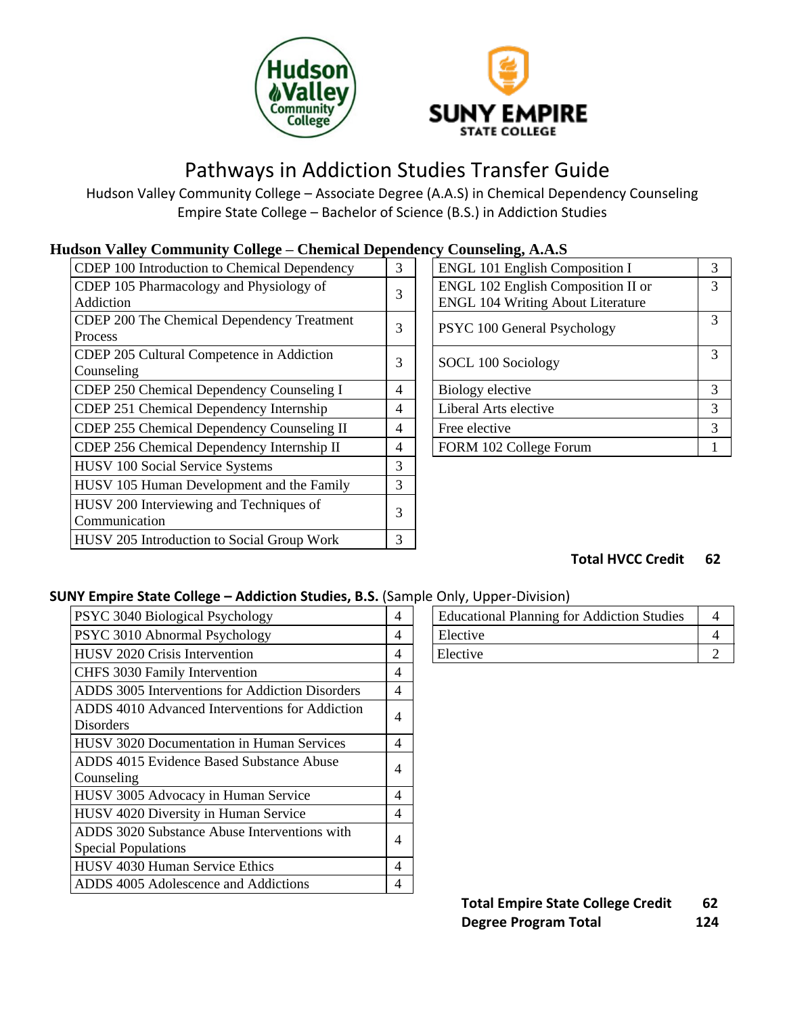



# Pathways in Addiction Studies Transfer Guide

Hudson Valley Community College – Associate Degree (A.A.S) in Chemical Dependency Counseling Empire State College – Bachelor of Science (B.S.) in Addiction Studies

## **Hudson Valley Community College – Chemical Dependency Counseling, A.A.S**

| CDEP 100 Introduction to Chemical Dependency | 3 | <b>ENGL 101 English Composition I</b>    | 3 |
|----------------------------------------------|---|------------------------------------------|---|
| CDEP 105 Pharmacology and Physiology of      | 3 | ENGL 102 English Composition II or       | 3 |
| Addiction                                    |   | <b>ENGL 104 Writing About Literature</b> |   |
| CDEP 200 The Chemical Dependency Treatment   | 3 | PSYC 100 General Psychology              | 3 |
| Process                                      |   |                                          |   |
| CDEP 205 Cultural Competence in Addiction    | 3 | SOCL 100 Sociology                       | 3 |
| Counseling                                   |   |                                          |   |
| CDEP 250 Chemical Dependency Counseling I    | 4 | Biology elective                         | 3 |
| CDEP 251 Chemical Dependency Internship      | 4 | Liberal Arts elective                    | 3 |
| CDEP 255 Chemical Dependency Counseling II   | 4 | Free elective                            | 3 |
| CDEP 256 Chemical Dependency Internship II   | 4 | FORM 102 College Forum                   |   |
| <b>HUSV 100 Social Service Systems</b>       | 3 |                                          |   |
| HUSV 105 Human Development and the Family    | 3 |                                          |   |
| HUSV 200 Interviewing and Techniques of      | 3 |                                          |   |
| Communication                                |   |                                          |   |
| HUSV 205 Introduction to Social Group Work   | 3 |                                          |   |

| ку Социвенид, А.А.Э                      |   |
|------------------------------------------|---|
| <b>ENGL 101 English Composition I</b>    |   |
| ENGL 102 English Composition II or       | 3 |
| <b>ENGL 104 Writing About Literature</b> |   |
| PSYC 100 General Psychology              | 3 |
| SOCL 100 Sociology                       | 3 |
| Biology elective                         | 3 |
| Liberal Arts elective                    | 3 |
| Free elective                            | 3 |
| FORM 102 College Forum                   |   |

## **Total HVCC Credit 62**

## **SUNY Empire State College – Addiction Studies, B.S.** (Sample Only, Upper-Division)

| <b>PSYC 3040 Biological Psychology</b>           | 4              | <b>Educational Planning for Addiction Studies</b> | 4 |
|--------------------------------------------------|----------------|---------------------------------------------------|---|
| <b>PSYC 3010 Abnormal Psychology</b>             | 4              | Elective                                          | 4 |
| <b>HUSV 2020 Crisis Intervention</b>             | 4              | Elective                                          | 2 |
| <b>CHFS 3030 Family Intervention</b>             | 4              |                                                   |   |
| ADDS 3005 Interventions for Addiction Disorders  | 4              |                                                   |   |
| ADDS 4010 Advanced Interventions for Addiction   | 4              |                                                   |   |
| <b>Disorders</b>                                 |                |                                                   |   |
| <b>HUSV 3020 Documentation in Human Services</b> | 4              |                                                   |   |
| ADDS 4015 Evidence Based Substance Abuse         | $\overline{4}$ |                                                   |   |
| Counseling                                       |                |                                                   |   |
| <b>HUSV 3005 Advocacy in Human Service</b>       | 4              |                                                   |   |
| HUSV 4020 Diversity in Human Service             | 4              |                                                   |   |
| ADDS 3020 Substance Abuse Interventions with     | $\overline{4}$ |                                                   |   |
| <b>Special Populations</b>                       |                |                                                   |   |
| HUSV 4030 Human Service Ethics                   | 4              |                                                   |   |
| ADDS 4005 Adolescence and Addictions             | 4              |                                                   |   |
|                                                  |                |                                                   |   |

|  | <b>Educational Planning for Addiction Studies</b> |  |  |  |
|--|---------------------------------------------------|--|--|--|
|  | Elective                                          |  |  |  |
|  | Elective                                          |  |  |  |

**Total Empire State College Credit 62 Degree Program Total 124**